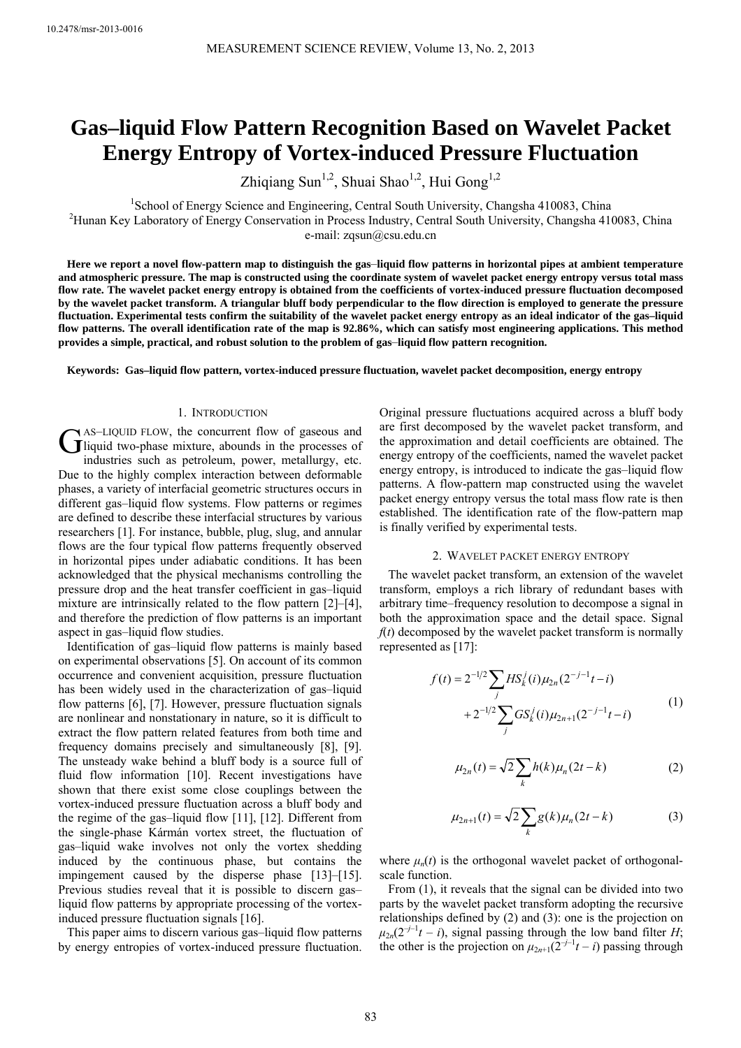# **Gas–liquid Flow Pattern Recognition Based on Wavelet Packet Energy Entropy of Vortex-induced Pressure Fluctuation**

Zhiqiang Sun<sup>1,2</sup>, Shuai Shao<sup>1,2</sup>, Hui Gong<sup>1,2</sup>

<sup>1</sup>School of Energy Science and Engineering, Central South University, Changsha 410083, China<br><sup>2</sup>Hunan Kay Labaratory of Energy Conservation in Process Industry, Central South University, Changsha 410 <sup>2</sup>Hunan Key Laboratory of Energy Conservation in Process Industry, Central South University, Changsha 410083, China

e-mail: zqsun@csu.edu.cn

**Here we report a novel flow-pattern map to distinguish the gas**–**liquid flow patterns in horizontal pipes at ambient temperature and atmospheric pressure. The map is constructed using the coordinate system of wavelet packet energy entropy versus total mass flow rate. The wavelet packet energy entropy is obtained from the coefficients of vortex-induced pressure fluctuation decomposed by the wavelet packet transform. A triangular bluff body perpendicular to the flow direction is employed to generate the pressure fluctuation. Experimental tests confirm the suitability of the wavelet packet energy entropy as an ideal indicator of the gas–liquid flow patterns. The overall identification rate of the map is 92.86%, which can satisfy most engineering applications. This method provides a simple, practical, and robust solution to the problem of gas**–**liquid flow pattern recognition.** 

**Keywords: Gas–liquid flow pattern, vortex-induced pressure fluctuation, wavelet packet decomposition, energy entropy** 

#### 1. INTRODUCTION

AS–LIQUID FLOW, the concurrent flow of gaseous and **C** AS-LIQUID FLOW, the concurrent flow of gaseous and<br> **G** liquid two-phase mixture, abounds in the processes of<br>
industries quake a nottal way not matelly the industries such as petroleum, power, metallurgy, etc. Due to the highly complex interaction between deformable phases, a variety of interfacial geometric structures occurs in different gas–liquid flow systems. Flow patterns or regimes are defined to describe these interfacial structures by various researchers [1]. For instance, bubble, plug, slug, and annular flows are the four typical flow patterns frequently observed in horizontal pipes under adiabatic conditions. It has been acknowledged that the physical mechanisms controlling the pressure drop and the heat transfer coefficient in gas–liquid mixture are intrinsically related to the flow pattern [2]–[4], and therefore the prediction of flow patterns is an important aspect in gas–liquid flow studies.

Identification of gas–liquid flow patterns is mainly based on experimental observations [5]. On account of its common occurrence and convenient acquisition, pressure fluctuation has been widely used in the characterization of gas–liquid flow patterns [6], [7]. However, pressure fluctuation signals are nonlinear and nonstationary in nature, so it is difficult to extract the flow pattern related features from both time and frequency domains precisely and simultaneously [8], [9]. The unsteady wake behind a bluff body is a source full of fluid flow information [10]. Recent investigations have shown that there exist some close couplings between the vortex-induced pressure fluctuation across a bluff body and the regime of the gas–liquid flow [11], [12]. Different from the single-phase Kármán vortex street, the fluctuation of gas–liquid wake involves not only the vortex shedding induced by the continuous phase, but contains the impingement caused by the disperse phase [13]–[15]. Previous studies reveal that it is possible to discern gas– liquid flow patterns by appropriate processing of the vortexinduced pressure fluctuation signals [16].

This paper aims to discern various gas–liquid flow patterns by energy entropies of vortex-induced pressure fluctuation. Original pressure fluctuations acquired across a bluff body are first decomposed by the wavelet packet transform, and the approximation and detail coefficients are obtained. The energy entropy of the coefficients, named the wavelet packet energy entropy, is introduced to indicate the gas–liquid flow patterns. A flow-pattern map constructed using the wavelet packet energy entropy versus the total mass flow rate is then established. The identification rate of the flow-pattern map is finally verified by experimental tests.

#### 2. WAVELET PACKET ENERGY ENTROPY

The wavelet packet transform, an extension of the wavelet transform, employs a rich library of redundant bases with arbitrary time–frequency resolution to decompose a signal in both the approximation space and the detail space. Signal  $f(t)$  decomposed by the wavelet packet transform is normally represented as [17]:

$$
f(t) = 2^{-1/2} \sum_{j} HS_{k}^{j}(i) \mu_{2n}(2^{-j-1}t - i)
$$
  
+2^{-1/2} \sum\_{j} GS\_{k}^{j}(i) \mu\_{2n+1}(2^{-j-1}t - i) (1)

$$
\mu_{2n}(t) = \sqrt{2} \sum_{k} h(k) \mu_n(2t - k)
$$
 (2)

$$
\mu_{2n+1}(t) = \sqrt{2} \sum_{k} g(k) \mu_n(2t - k)
$$
 (3)

where  $\mu_n(t)$  is the orthogonal wavelet packet of orthogonalscale function.

From (1), it reveals that the signal can be divided into two parts by the wavelet packet transform adopting the recursive relationships defined by (2) and (3): one is the projection on  $\mu_{2n}(2^{-j-1}t - i)$ , signal passing through the low band filter *H*; the other is the projection on  $\mu_{2n+1}(2^{-j-1}t-i)$  passing through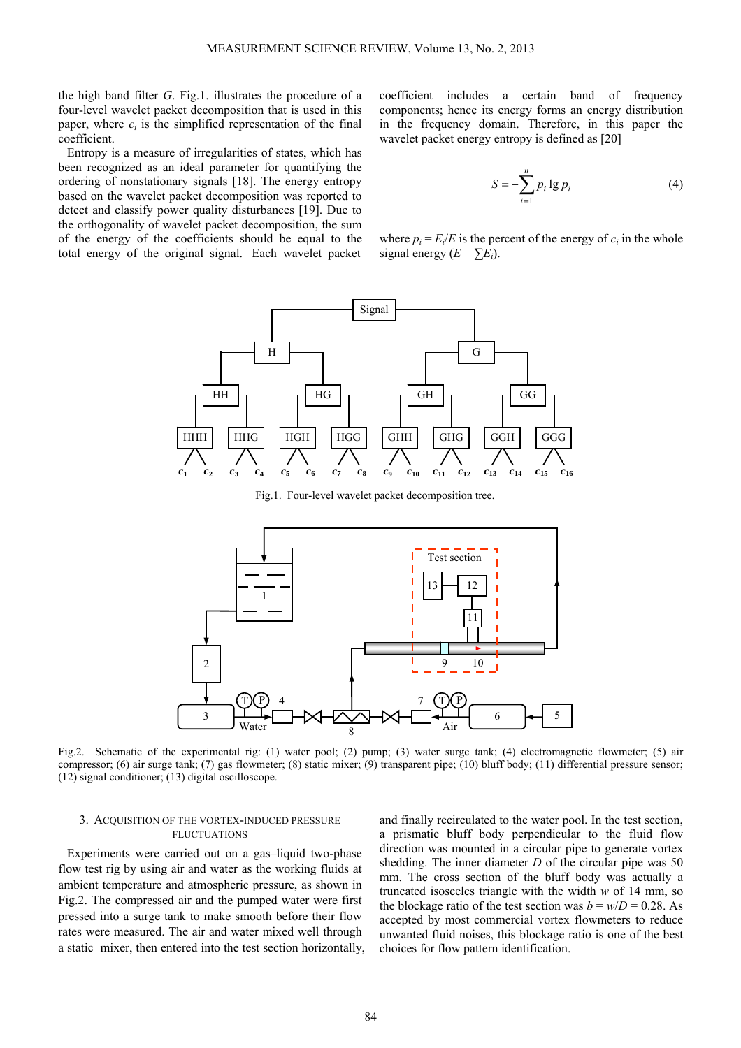the high band filter *G*. Fig.1. illustrates the procedure of a four-level wavelet packet decomposition that is used in this paper, where  $c_i$  is the simplified representation of the final coefficient.

Entropy is a measure of irregularities of states, which has been recognized as an ideal parameter for quantifying the ordering of nonstationary signals [18]. The energy entropy based on the wavelet packet decomposition was reported to detect and classify power quality disturbances [19]. Due to the orthogonality of wavelet packet decomposition, the sum of the energy of the coefficients should be equal to the total energy of the original signal. Each wavelet packet coefficient includes a certain band of frequency components; hence its energy forms an energy distribution in the frequency domain. Therefore, in this paper the wavelet packet energy entropy is defined as [20]

$$
S = -\sum_{i=1}^{n} p_i \lg p_i \tag{4}
$$

where  $p_i = E_i/E$  is the percent of the energy of  $c_i$  in the whole signal energy  $(E = \sum E_i)$ .



Fig.1. Four-level wavelet packet decomposition tree.



Fig.2. Schematic of the experimental rig: (1) water pool; (2) pump; (3) water surge tank; (4) electromagnetic flowmeter; (5) air compressor; (6) air surge tank; (7) gas flowmeter; (8) static mixer; (9) transparent pipe; (10) bluff body; (11) differential pressure sensor; (12) signal conditioner; (13) digital oscilloscope.

## 3. ACQUISITION OF THE VORTEX-INDUCED PRESSURE FLUCTUATIONS

Experiments were carried out on a gas–liquid two-phase flow test rig by using air and water as the working fluids at ambient temperature and atmospheric pressure, as shown in Fig.2. The compressed air and the pumped water were first pressed into a surge tank to make smooth before their flow rates were measured. The air and water mixed well through a static mixer, then entered into the test section horizontally, and finally recirculated to the water pool. In the test section, a prismatic bluff body perpendicular to the fluid flow direction was mounted in a circular pipe to generate vortex shedding. The inner diameter *D* of the circular pipe was 50 mm. The cross section of the bluff body was actually a truncated isosceles triangle with the width *w* of 14 mm, so the blockage ratio of the test section was  $b = w/D = 0.28$ . As accepted by most commercial vortex flowmeters to reduce unwanted fluid noises, this blockage ratio is one of the best choices for flow pattern identification.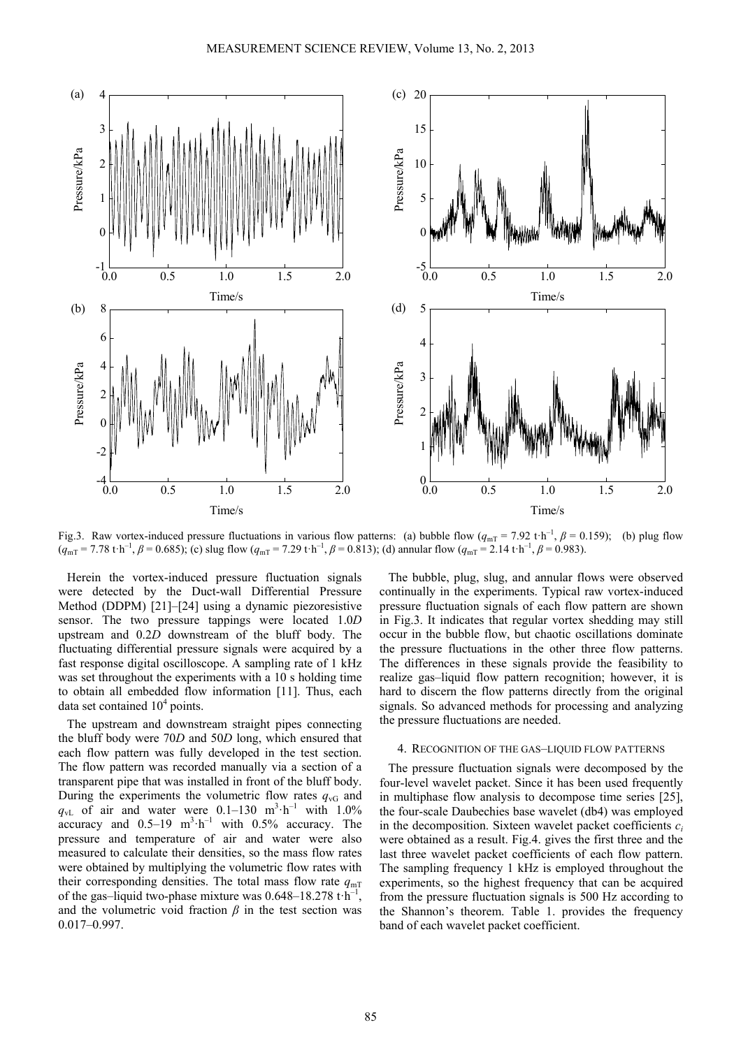

Fig.3. Raw vortex-induced pressure fluctuations in various flow patterns: (a) bubble flow ( $q_{mT}$  = 7.92 t·h<sup>-1</sup>,  $\beta$  = 0.159); (b) plug flow  $(q_{\text{mT}} = 7.78 \text{ t} \cdot \text{h}^{-1}, \beta = 0.685)$ ; (c) slug flow  $(q_{\text{mT}} = 7.29 \text{ t} \cdot \text{h}^{-1}, \beta = 0.813)$ ; (d) annular flow  $(q_{\text{mT}} = 2.14 \text{ t} \cdot \text{h}^{-1}, \beta = 0.983)$ .

Herein the vortex-induced pressure fluctuation signals were detected by the Duct-wall Differential Pressure Method (DDPM) [21]–[24] using a dynamic piezoresistive sensor. The two pressure tappings were located 1.0*D* upstream and 0.2*D* downstream of the bluff body. The fluctuating differential pressure signals were acquired by a fast response digital oscilloscope. A sampling rate of 1 kHz was set throughout the experiments with a 10 s holding time to obtain all embedded flow information [11]. Thus, each data set contained  $10<sup>4</sup>$  points.

The upstream and downstream straight pipes connecting the bluff body were 70*D* and 50*D* long, which ensured that each flow pattern was fully developed in the test section. The flow pattern was recorded manually via a section of a transparent pipe that was installed in front of the bluff body. During the experiments the volumetric flow rates  $q_{\rm vG}$  and  $q_{\rm vL}$  of air and water were 0.1–130 m<sup>3</sup> h<sup>-1</sup> with 1.0% accuracy and  $0.5-19$  m<sup>3</sup> h<sup>-1</sup> with  $0.5\%$  accuracy. The pressure and temperature of air and water were also measured to calculate their densities, so the mass flow rates were obtained by multiplying the volumetric flow rates with their corresponding densities. The total mass flow rate  $q_{mT}$ of the gas–liquid two-phase mixture was  $0.648-18.278 \text{ t} \cdot \text{h}^{-1}$ , and the volumetric void fraction  $\beta$  in the test section was 0.017–0.997.

The bubble, plug, slug, and annular flows were observed continually in the experiments. Typical raw vortex-induced pressure fluctuation signals of each flow pattern are shown in Fig.3. It indicates that regular vortex shedding may still occur in the bubble flow, but chaotic oscillations dominate the pressure fluctuations in the other three flow patterns. The differences in these signals provide the feasibility to realize gas–liquid flow pattern recognition; however, it is hard to discern the flow patterns directly from the original signals. So advanced methods for processing and analyzing the pressure fluctuations are needed.

# 4. RECOGNITION OF THE GAS–LIQUID FLOW PATTERNS

The pressure fluctuation signals were decomposed by the four-level wavelet packet. Since it has been used frequently in multiphase flow analysis to decompose time series [25], the four-scale Daubechies base wavelet (db4) was employed in the decomposition. Sixteen wavelet packet coefficients  $c_i$ were obtained as a result. Fig.4. gives the first three and the last three wavelet packet coefficients of each flow pattern. The sampling frequency 1 kHz is employed throughout the experiments, so the highest frequency that can be acquired from the pressure fluctuation signals is 500 Hz according to the Shannon's theorem. Table 1. provides the frequency band of each wavelet packet coefficient.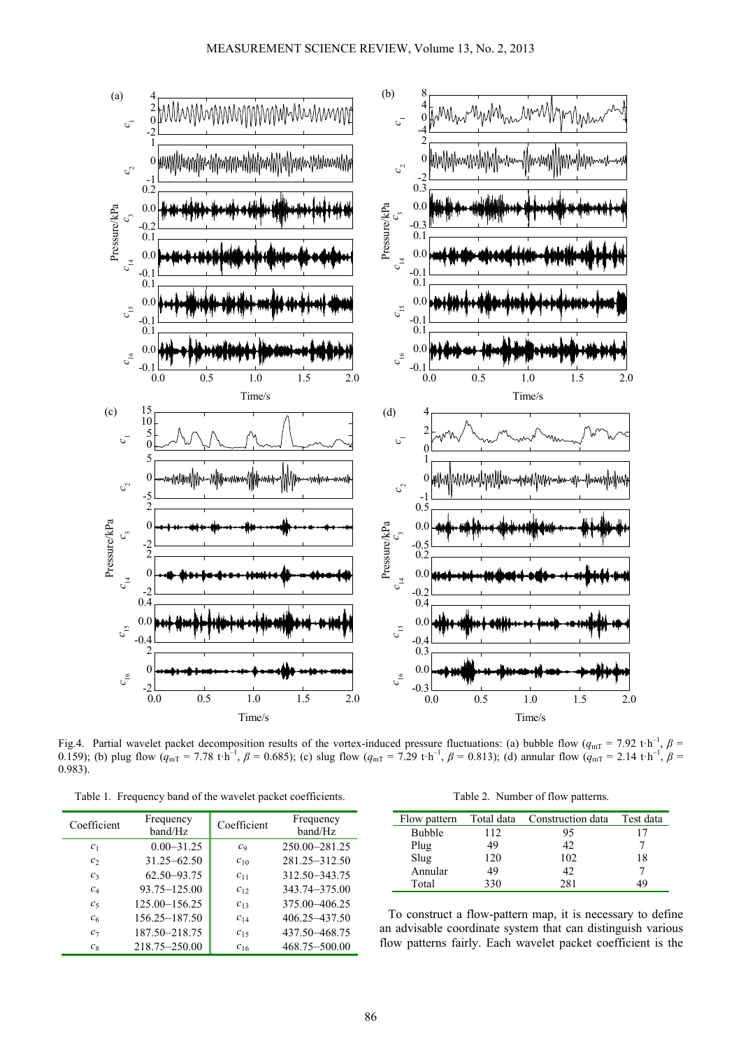

Fig.4. Partial wavelet packet decomposition results of the vortex-induced pressure fluctuations: (a) bubble flow ( $q_{mT}$  = 7.92 t·h<sup>-1</sup>,  $\beta$  = 0.159); (b) plug flow  $(\hat{q}_{mT} = 7.78 \text{ t} \cdot \hat{h}^{-1}, \beta = 0.685)$ ; (c) slug flow  $(q_{mT} = 7.29 \text{ t} \cdot \hat{h}^{-1}, \beta = 0.813)$ ; (d) annular flow  $(\hat{q}_{mT} = 2.14 \text{ t} \cdot \hat{h}^{-1}, \beta = 0.813)$ 0.983).

Table 1. Frequency band of the wavelet packet coefficients.

| Table 2. Number of flow patterns. |  |  |  |
|-----------------------------------|--|--|--|
|-----------------------------------|--|--|--|

| Coefficient    | Frequency<br>band/Hz | Coefficient    | Frequency<br>band/Hz |
|----------------|----------------------|----------------|----------------------|
| c <sub>1</sub> | $0.00 - 31.25$       | C <sub>9</sub> | 250.00-281.25        |
| c <sub>2</sub> | $31.25 - 62.50$      | $c_{10}$       | 281.25-312.50        |
| $c_3$          | 62.50-93.75          | $c_{11}$       | 312.50 - 343.75      |
| $c_4$          | 93.75-125.00         | $c_{12}$       | 343.74-375.00        |
| c <sub>5</sub> | 125.00-156.25        | $c_{13}$       | 375.00 - 406.25      |
| c <sub>6</sub> | 156.25-187.50        | $C_{14}$       | 406.25 - 437.50      |
| $c_7$          | 187.50-218.75        | $c_{15}$       | 437.50 - 468.75      |
| $c_8$          | 218.75-250.00        | $c_{16}$       | 468.75-500.00        |

| Flow pattern  | Total data | Construction data | Test data |
|---------------|------------|-------------------|-----------|
| <b>Bubble</b> | 112        | 95                |           |
| Plug          | 49         | 42                |           |
| Slug          | 120        | 102               | 18        |
| Annular       | 49         | 42                |           |
| Total         | 330        | 281               | 19        |

To construct a flow-pattern map, it is necessary to define an advisable coordinate system that can distinguish various flow patterns fairly. Each wavelet packet coefficient is the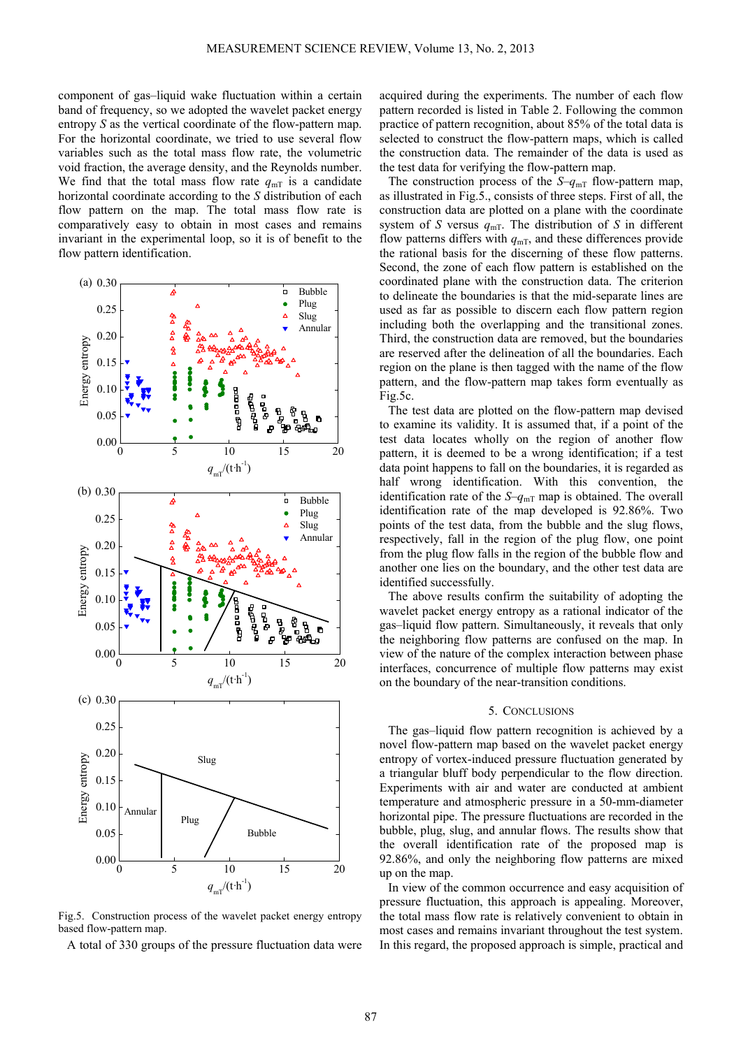component of gas–liquid wake fluctuation within a certain band of frequency, so we adopted the wavelet packet energy entropy *S* as the vertical coordinate of the flow-pattern map. For the horizontal coordinate, we tried to use several flow variables such as the total mass flow rate, the volumetric void fraction, the average density, and the Reynolds number. We find that the total mass flow rate  $q_{mT}$  is a candidate horizontal coordinate according to the *S* distribution of each flow pattern on the map. The total mass flow rate is comparatively easy to obtain in most cases and remains invariant in the experimental loop, so it is of benefit to the flow pattern identification.



Fig.5. Construction process of the wavelet packet energy entropy based flow-pattern map.

A total of 330 groups of the pressure fluctuation data were

acquired during the experiments. The number of each flow pattern recorded is listed in Table 2. Following the common practice of pattern recognition, about 85% of the total data is selected to construct the flow-pattern maps, which is called the construction data. The remainder of the data is used as the test data for verifying the flow-pattern map.

The construction process of the  $S-q_{mT}$  flow-pattern map, as illustrated in Fig.5., consists of three steps. First of all, the construction data are plotted on a plane with the coordinate system of *S* versus  $q_{mT}$ . The distribution of *S* in different flow patterns differs with  $q_{mT}$ , and these differences provide the rational basis for the discerning of these flow patterns. Second, the zone of each flow pattern is established on the coordinated plane with the construction data. The criterion to delineate the boundaries is that the mid-separate lines are used as far as possible to discern each flow pattern region including both the overlapping and the transitional zones. Third, the construction data are removed, but the boundaries are reserved after the delineation of all the boundaries. Each region on the plane is then tagged with the name of the flow pattern, and the flow-pattern map takes form eventually as Fig.5c.

The test data are plotted on the flow-pattern map devised to examine its validity. It is assumed that, if a point of the test data locates wholly on the region of another flow pattern, it is deemed to be a wrong identification; if a test data point happens to fall on the boundaries, it is regarded as half wrong identification. With this convention, the identification rate of the  $S-q_{mT}$  map is obtained. The overall identification rate of the map developed is 92.86%. Two points of the test data, from the bubble and the slug flows, respectively, fall in the region of the plug flow, one point from the plug flow falls in the region of the bubble flow and another one lies on the boundary, and the other test data are identified successfully.

The above results confirm the suitability of adopting the wavelet packet energy entropy as a rational indicator of the gas–liquid flow pattern. Simultaneously, it reveals that only the neighboring flow patterns are confused on the map. In view of the nature of the complex interaction between phase interfaces, concurrence of multiple flow patterns may exist on the boundary of the near-transition conditions.

# 5. CONCLUSIONS

The gas–liquid flow pattern recognition is achieved by a novel flow-pattern map based on the wavelet packet energy entropy of vortex-induced pressure fluctuation generated by a triangular bluff body perpendicular to the flow direction. Experiments with air and water are conducted at ambient temperature and atmospheric pressure in a 50-mm-diameter horizontal pipe. The pressure fluctuations are recorded in the bubble, plug, slug, and annular flows. The results show that the overall identification rate of the proposed map is 92.86%, and only the neighboring flow patterns are mixed up on the map.

In view of the common occurrence and easy acquisition of pressure fluctuation, this approach is appealing. Moreover, the total mass flow rate is relatively convenient to obtain in most cases and remains invariant throughout the test system. In this regard, the proposed approach is simple, practical and